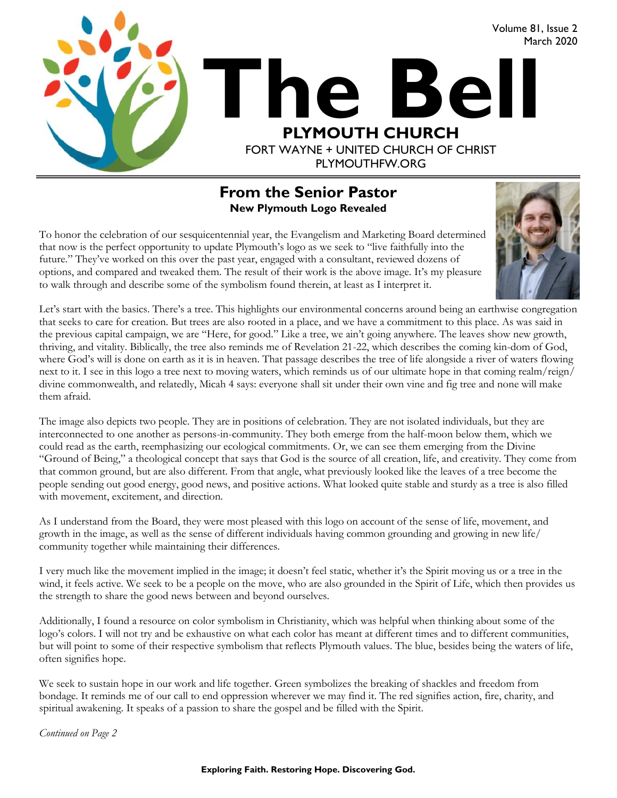

#### **From the Senior Pastor New Plymouth Logo Revealed**

To honor the celebration of our sesquicentennial year, the Evangelism and Marketing Board determined that now is the perfect opportunity to update Plymouth's logo as we seek to "live faithfully into the future." They've worked on this over the past year, engaged with a consultant, reviewed dozens of options, and compared and tweaked them. The result of their work is the above image. It's my pleasure to walk through and describe some of the symbolism found therein, at least as I interpret it.



Let's start with the basics. There's a tree. This highlights our environmental concerns around being an earthwise congregation that seeks to care for creation. But trees are also rooted in a place, and we have a commitment to this place. As was said in the previous capital campaign, we are "Here, for good." Like a tree, we ain't going anywhere. The leaves show new growth, thriving, and vitality. Biblically, the tree also reminds me of Revelation 21-22, which describes the coming kin-dom of God, where God's will is done on earth as it is in heaven. That passage describes the tree of life alongside a river of waters flowing next to it. I see in this logo a tree next to moving waters, which reminds us of our ultimate hope in that coming realm/reign/ divine commonwealth, and relatedly, Micah 4 says: everyone shall sit under their own vine and fig tree and none will make them afraid.

The image also depicts two people. They are in positions of celebration. They are not isolated individuals, but they are interconnected to one another as persons-in-community. They both emerge from the half-moon below them, which we could read as the earth, reemphasizing our ecological commitments. Or, we can see them emerging from the Divine "Ground of Being," a theological concept that says that God is the source of all creation, life, and creativity. They come from that common ground, but are also different. From that angle, what previously looked like the leaves of a tree become the people sending out good energy, good news, and positive actions. What looked quite stable and sturdy as a tree is also filled with movement, excitement, and direction.

As I understand from the Board, they were most pleased with this logo on account of the sense of life, movement, and growth in the image, as well as the sense of different individuals having common grounding and growing in new life/ community together while maintaining their differences.

I very much like the movement implied in the image; it doesn't feel static, whether it's the Spirit moving us or a tree in the wind, it feels active. We seek to be a people on the move, who are also grounded in the Spirit of Life, which then provides us the strength to share the good news between and beyond ourselves.

Additionally, I found a resource on color symbolism in Christianity, which was helpful when thinking about some of the logo's colors. I will not try and be exhaustive on what each color has meant at different times and to different communities, but will point to some of their respective symbolism that reflects Plymouth values. The blue, besides being the waters of life, often signifies hope.

We seek to sustain hope in our work and life together. Green symbolizes the breaking of shackles and freedom from bondage. It reminds me of our call to end oppression wherever we may find it. The red signifies action, fire, charity, and spiritual awakening. It speaks of a passion to share the gospel and be filled with the Spirit.

*Continued on Page 2*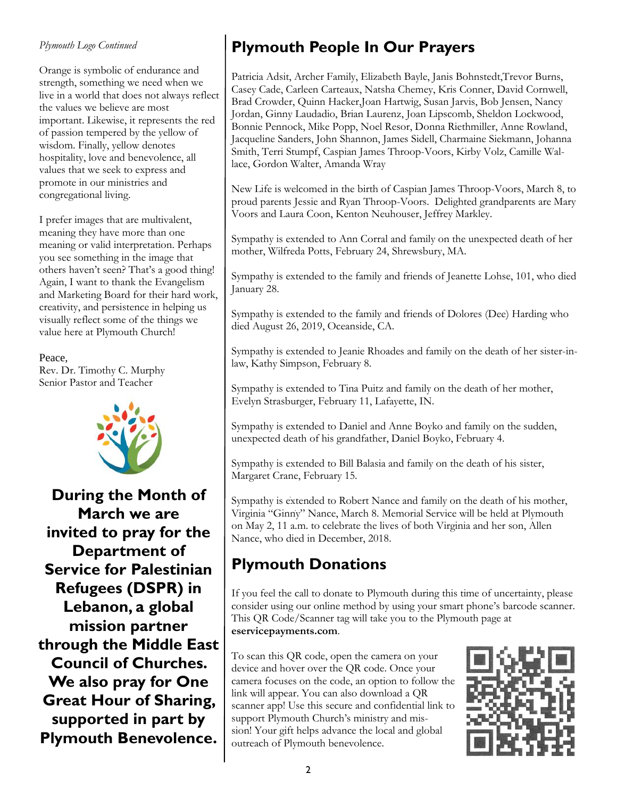#### *Plymouth Logo Continued*

Orange is symbolic of endurance and strength, something we need when we live in a world that does not always reflect the values we believe are most important. Likewise, it represents the red of passion tempered by the yellow of wisdom. Finally, yellow denotes hospitality, love and benevolence, all values that we seek to express and promote in our ministries and congregational living.

I prefer images that are multivalent, meaning they have more than one meaning or valid interpretation. Perhaps you see something in the image that others haven't seen? That's a good thing! Again, I want to thank the Evangelism and Marketing Board for their hard work, creativity, and persistence in helping us visually reflect some of the things we value here at Plymouth Church!

Peace, Rev. Dr. Timothy C. Murphy Senior Pastor and Teacher



**During the Month of March we are invited to pray for the Department of Service for Palestinian Refugees (DSPR) in Lebanon, a global mission partner through the Middle East Council of Churches. We also pray for One Great Hour of Sharing, supported in part by Plymouth Benevolence.**

## **Plymouth People In Our Prayers**

Patricia Adsit, Archer Family, Elizabeth Bayle, Janis Bohnstedt,Trevor Burns, Casey Cade, Carleen Carteaux, Natsha Chemey, Kris Conner, David Cornwell, Brad Crowder, Quinn Hacker,Joan Hartwig, Susan Jarvis, Bob Jensen, Nancy Jordan, Ginny Laudadio, Brian Laurenz, Joan Lipscomb, Sheldon Lockwood, Bonnie Pennock, Mike Popp, Noel Resor, Donna Riethmiller, Anne Rowland, Jacqueline Sanders, John Shannon, James Sidell, Charmaine Siekmann, Johanna Smith, Terri Stumpf, Caspian James Throop-Voors, Kirby Volz, Camille Wallace, Gordon Walter, Amanda Wray

New Life is welcomed in the birth of Caspian James Throop-Voors, March 8, to proud parents Jessie and Ryan Throop-Voors. Delighted grandparents are Mary Voors and Laura Coon, Kenton Neuhouser, Jeffrey Markley.

Sympathy is extended to Ann Corral and family on the unexpected death of her mother, Wilfreda Potts, February 24, Shrewsbury, MA.

Sympathy is extended to the family and friends of Jeanette Lohse, 101, who died January 28.

Sympathy is extended to the family and friends of Dolores (Dee) Harding who died August 26, 2019, Oceanside, CA.

Sympathy is extended to Jeanie Rhoades and family on the death of her sister-inlaw, Kathy Simpson, February 8.

Sympathy is extended to Tina Puitz and family on the death of her mother, Evelyn Strasburger, February 11, Lafayette, IN.

Sympathy is extended to Daniel and Anne Boyko and family on the sudden, unexpected death of his grandfather, Daniel Boyko, February 4.

Sympathy is extended to Bill Balasia and family on the death of his sister, Margaret Crane, February 15.

Sympathy is extended to Robert Nance and family on the death of his mother, Virginia "Ginny" Nance, March 8. Memorial Service will be held at Plymouth on May 2, 11 a.m. to celebrate the lives of both Virginia and her son, Allen Nance, who died in December, 2018.

#### **Plymouth Donations**

If you feel the call to donate to Plymouth during this time of uncertainty, please consider using our online method by using your smart phone's barcode scanner. This QR Code/Scanner tag will take you to the Plymouth page at **eservicepayments.com**.

To scan this QR code, open the camera on your device and hover over the QR code. Once your camera focuses on the code, an option to follow the link will appear. You can also download a QR scanner app! Use this secure and confidential link to support Plymouth Church's ministry and mission! Your gift helps advance the local and global outreach of Plymouth benevolence.

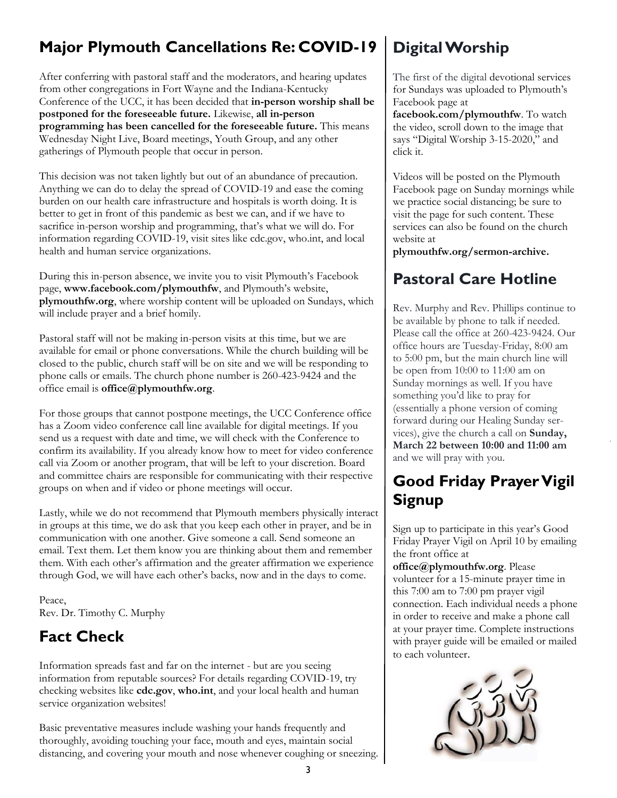## **Major Plymouth Cancellations Re: COVID-19**

After conferring with pastoral staff and the moderators, and hearing updates from other congregations in Fort Wayne and the Indiana-Kentucky Conference of the UCC, it has been decided that **in-person worship shall be postponed for the foreseeable future.** Likewise, **all in-person programming has been cancelled for the foreseeable future.** This means Wednesday Night Live, Board meetings, Youth Group, and any other gatherings of Plymouth people that occur in person.

This decision was not taken lightly but out of an abundance of precaution. Anything we can do to delay the spread of COVID-19 and ease the coming burden on our health care infrastructure and hospitals is worth doing. It is better to get in front of this pandemic as best we can, and if we have to sacrifice in-person worship and programming, that's what we will do. For information regarding COVID-19, visit sites like cdc.gov, who.int, and local health and human service organizations.

During this in-person absence, we invite you to visit Plymouth's Facebook page, **www.facebook.com/plymouthfw**, and Plymouth's website, **plymouthfw.org**, where worship content will be uploaded on Sundays, which will include prayer and a brief homily.

Pastoral staff will not be making in-person visits at this time, but we are available for email or phone conversations. While the church building will be closed to the public, church staff will be on site and we will be responding to phone calls or emails. The church phone number is 260-423-9424 and the office email is **office@plymouthfw.org**.

For those groups that cannot postpone meetings, the UCC Conference office has a Zoom video conference call line available for digital meetings. If you send us a request with date and time, we will check with the Conference to confirm its availability. If you already know how to meet for video conference call via Zoom or another program, that will be left to your discretion. Board and committee chairs are responsible for communicating with their respective groups on when and if video or phone meetings will occur.

Lastly, while we do not recommend that Plymouth members physically interact in groups at this time, we do ask that you keep each other in prayer, and be in communication with one another. Give someone a call. Send someone an email. Text them. Let them know you are thinking about them and remember them. With each other's affirmation and the greater affirmation we experience through God, we will have each other's backs, now and in the days to come.

Peace, Rev. Dr. Timothy C. Murphy

# **Fact Check**

Information spreads fast and far on the internet - but are you seeing information from reputable sources? For details regarding COVID-19, try checking websites like **cdc.gov**, **who.int**, and your local health and human service organization websites!

Basic preventative measures include washing your hands frequently and thoroughly, avoiding touching your face, mouth and eyes, maintain social distancing, and covering your mouth and nose whenever coughing or sneezing.

# **Digital Worship**

The first of the digital devotional services for Sundays was uploaded to Plymouth's Facebook page at

**facebook.com/plymouthfw**. To watch the video, scroll down to the image that says "Digital Worship 3-15-2020," and click it.

Videos will be posted on the Plymouth Facebook page on Sunday mornings while we practice social distancing; be sure to visit the page for such content. These services can also be found on the church website at

**plymouthfw.org/sermon-archive.**

### **Pastoral Care Hotline**

Rev. Murphy and Rev. Phillips continue to be available by phone to talk if needed. Please call the office at 260-423-9424. Our office hours are Tuesday-Friday, 8:00 am to 5:00 pm, but the main church line will be open from 10:00 to 11:00 am on Sunday mornings as well. If you have something you'd like to pray for (essentially a phone version of coming forward during our Healing Sunday services), give the church a call on **Sunday, March 22 between 10:00 and 11:00 am** and we will pray with you.

### **Good Friday Prayer Vigil Signup**

Sign up to participate in this year's Good Friday Prayer Vigil on April 10 by emailing the front office at

**office@plymouthfw.org**. Please volunteer for a 15-minute prayer time in this 7:00 am to 7:00 pm prayer vigil connection. Each individual needs a phone in order to receive and make a phone call at your prayer time. Complete instructions with prayer guide will be emailed or mailed to each volunteer.

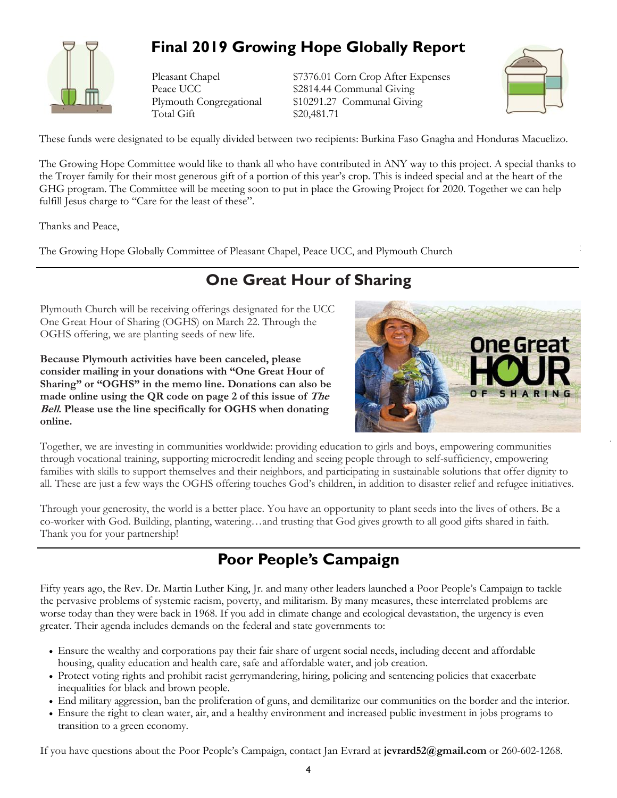

### **Final 2019 Growing Hope Globally Report**

Total Gift \$20,481.71

Pleasant Chapel \$7376.01 Corn Crop After Expenses Peace UCC \$2814.44 Communal Giving Plymouth Congregational \$10291.27 Communal Giving



These funds were designated to be equally divided between two recipients: Burkina Faso Gnagha and Honduras Macuelizo.

The Growing Hope Committee would like to thank all who have contributed in ANY way to this project. A special thanks to the Troyer family for their most generous gift of a portion of this year's crop. This is indeed special and at the heart of the GHG program. The Committee will be meeting soon to put in place the Growing Project for 2020. Together we can help fulfill Jesus charge to "Care for the least of these".

Thanks and Peace,

The Growing Hope Globally Committee of Pleasant Chapel, Peace UCC, and Plymouth Church

#### **One Great Hour of Sharing**

Plymouth Church will be receiving offerings designated for the UCC One Great Hour of Sharing (OGHS) on March 22. Through the OGHS offering, we are planting seeds of new life.

**Because Plymouth activities have been canceled, please consider mailing in your donations with "One Great Hour of Sharing" or "OGHS" in the memo line. Donations can also be made online using the QR code on page 2 of this issue of The Bell. Please use the line specifically for OGHS when donating online.** 



Together, we are investing in communities worldwide: providing education to girls and boys, empowering communities through vocational training, supporting microcredit lending and seeing people through to self-sufficiency, empowering families with skills to support themselves and their neighbors, and participating in sustainable solutions that offer dignity to all. These are just a few ways the OGHS offering touches God's children, in addition to disaster relief and refugee initiatives.

Through your generosity, the world is a better place. You have an opportunity to plant seeds into the lives of others. Be a co-worker with God. Building, planting, watering…and trusting that God gives growth to all good gifts shared in faith. Thank you for your partnership!

#### **Poor People's Campaign**

Fifty years ago, the Rev. Dr. Martin Luther King, Jr. and many other leaders launched a Poor People's Campaign to tackle the pervasive problems of systemic racism, poverty, and militarism. By many measures, these interrelated problems are worse today than they were back in 1968. If you add in climate change and ecological devastation, the urgency is even greater. Their agenda includes demands on the federal and state governments to:

- Ensure the wealthy and corporations pay their fair share of urgent social needs, including decent and affordable housing, quality education and health care, safe and affordable water, and job creation.
- Protect voting rights and prohibit racist gerrymandering, hiring, policing and sentencing policies that exacerbate inequalities for black and brown people.
- End military aggression, ban the proliferation of guns, and demilitarize our communities on the border and the interior.
- Ensure the right to clean water, air, and a healthy environment and increased public investment in jobs programs to transition to a green economy.

If you have questions about the Poor People's Campaign, contact Jan Evrard at **[jevrard52@gmail.com](mailto:jevrard52@gmail.com)** or 260-602-1268.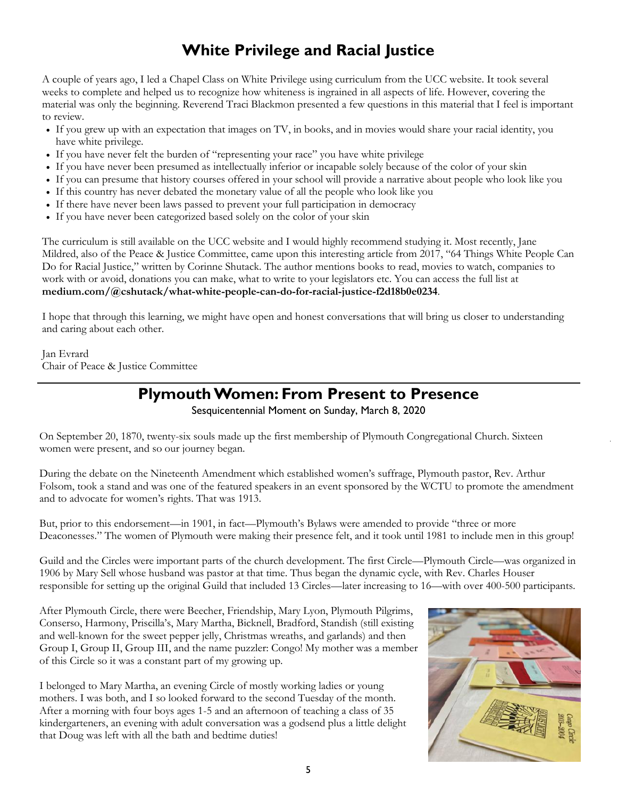#### **White Privilege and Racial Justice**

A couple of years ago, I led a Chapel Class on White Privilege using curriculum from the UCC website. It took several weeks to complete and helped us to recognize how whiteness is ingrained in all aspects of life. However, covering the material was only the beginning. Reverend Traci Blackmon presented a few questions in this material that I feel is important to review.

- If you grew up with an expectation that images on TV, in books, and in movies would share your racial identity, you have white privilege.
- If you have never felt the burden of "representing your race" you have white privilege
- If you have never been presumed as intellectually inferior or incapable solely because of the color of your skin
- If you can presume that history courses offered in your school will provide a narrative about people who look like you
- If this country has never debated the monetary value of all the people who look like you
- If there have never been laws passed to prevent your full participation in democracy
- If you have never been categorized based solely on the color of your skin

The curriculum is still available on the UCC website and I would highly recommend studying it. Most recently, Jane Mildred, also of the Peace & Justice Committee, came upon this interesting article from 2017, "64 Things White People Can Do for Racial Justice," written by Corinne Shutack. The author mentions books to read, movies to watch, companies to work with or avoid, donations you can make, what to write to your legislators etc. You can access the full list at **[medium.com/@cshutack/what-white-people-can-do-for-racial-justice-f2d18b0e0234](https://medium.con/@cshutack/what-white-people-can-do-for-racial-justice-f2d18b0e0234)**.

I hope that through this learning, we might have open and honest conversations that will bring us closer to understanding and caring about each other.

Jan Evrard Chair of Peace & Justice Committee

#### **Plymouth Women: From Present to Presence**

Sesquicentennial Moment on Sunday, March 8, 2020

On September 20, 1870, twenty-six souls made up the first membership of Plymouth Congregational Church. Sixteen women were present, and so our journey began.

During the debate on the Nineteenth Amendment which established women's suffrage, Plymouth pastor, Rev. Arthur Folsom, took a stand and was one of the featured speakers in an event sponsored by the WCTU to promote the amendment and to advocate for women's rights. That was 1913.

But, prior to this endorsement—in 1901, in fact—Plymouth's Bylaws were amended to provide "three or more Deaconesses." The women of Plymouth were making their presence felt, and it took until 1981 to include men in this group!

Guild and the Circles were important parts of the church development. The first Circle—Plymouth Circle—was organized in 1906 by Mary Sell whose husband was pastor at that time. Thus began the dynamic cycle, with Rev. Charles Houser responsible for setting up the original Guild that included 13 Circles—later increasing to 16—with over 400-500 participants.

After Plymouth Circle, there were Beecher, Friendship, Mary Lyon, Plymouth Pilgrims, Conserso, Harmony, Priscilla's, Mary Martha, Bicknell, Bradford, Standish (still existing and well-known for the sweet pepper jelly, Christmas wreaths, and garlands) and then Group I, Group II, Group III, and the name puzzler: Congo! My mother was a member of this Circle so it was a constant part of my growing up.

I belonged to Mary Martha, an evening Circle of mostly working ladies or young mothers. I was both, and I so looked forward to the second Tuesday of the month. After a morning with four boys ages 1-5 and an afternoon of teaching a class of 35 kindergarteners, an evening with adult conversation was a godsend plus a little delight that Doug was left with all the bath and bedtime duties!

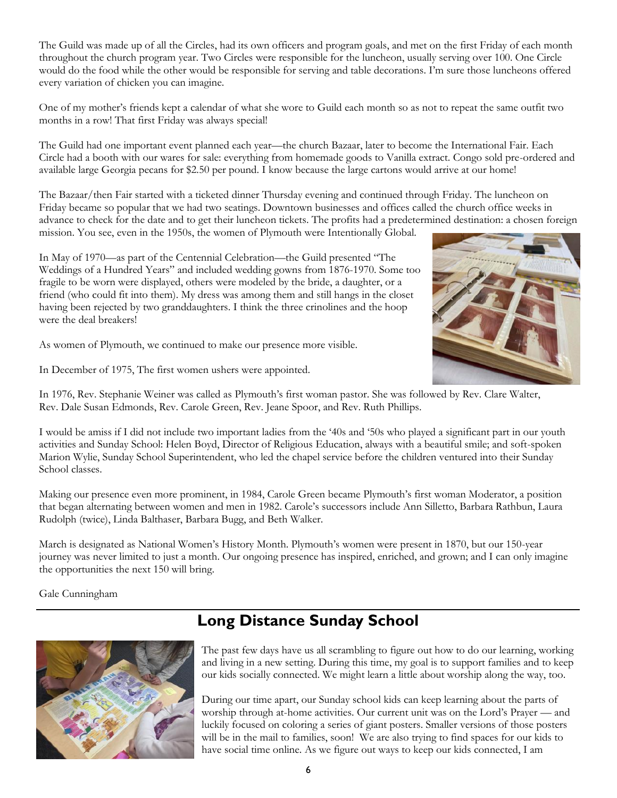The Guild was made up of all the Circles, had its own officers and program goals, and met on the first Friday of each month throughout the church program year. Two Circles were responsible for the luncheon, usually serving over 100. One Circle would do the food while the other would be responsible for serving and table decorations. I'm sure those luncheons offered every variation of chicken you can imagine.

One of my mother's friends kept a calendar of what she wore to Guild each month so as not to repeat the same outfit two months in a row! That first Friday was always special!

The Guild had one important event planned each year—the church Bazaar, later to become the International Fair. Each Circle had a booth with our wares for sale: everything from homemade goods to Vanilla extract. Congo sold pre-ordered and available large Georgia pecans for \$2.50 per pound. I know because the large cartons would arrive at our home!

The Bazaar/then Fair started with a ticketed dinner Thursday evening and continued through Friday. The luncheon on Friday became so popular that we had two seatings. Downtown businesses and offices called the church office weeks in advance to check for the date and to get their luncheon tickets. The profits had a predetermined destination: a chosen foreign mission. You see, even in the 1950s, the women of Plymouth were Intentionally Global.

In May of 1970—as part of the Centennial Celebration—the Guild presented "The Weddings of a Hundred Years" and included wedding gowns from 1876-1970. Some too fragile to be worn were displayed, others were modeled by the bride, a daughter, or a friend (who could fit into them). My dress was among them and still hangs in the closet having been rejected by two granddaughters. I think the three crinolines and the hoop were the deal breakers!

As women of Plymouth, we continued to make our presence more visible.

In December of 1975, The first women ushers were appointed.



In 1976, Rev. Stephanie Weiner was called as Plymouth's first woman pastor. She was followed by Rev. Clare Walter, Rev. Dale Susan Edmonds, Rev. Carole Green, Rev. Jeane Spoor, and Rev. Ruth Phillips.

I would be amiss if I did not include two important ladies from the '40s and '50s who played a significant part in our youth activities and Sunday School: Helen Boyd, Director of Religious Education, always with a beautiful smile; and soft-spoken Marion Wylie, Sunday School Superintendent, who led the chapel service before the children ventured into their Sunday School classes.

Making our presence even more prominent, in 1984, Carole Green became Plymouth's first woman Moderator, a position that began alternating between women and men in 1982. Carole's successors include Ann Silletto, Barbara Rathbun, Laura Rudolph (twice), Linda Balthaser, Barbara Bugg, and Beth Walker.

March is designated as National Women's History Month. Plymouth's women were present in 1870, but our 150-year journey was never limited to just a month. Our ongoing presence has inspired, enriched, and grown; and I can only imagine the opportunities the next 150 will bring.

Gale Cunningham



#### **Long Distance Sunday School**

The past few days have us all scrambling to figure out how to do our learning, working and living in a new setting. During this time, my goal is to support families and to keep our kids socially connected. We might learn a little about worship along the way, too.

During our time apart, our Sunday school kids can keep learning about the parts of worship through at-home activities. Our current unit was on the Lord's Prayer — and luckily focused on coloring a series of giant posters. Smaller versions of those posters will be in the mail to families, soon! We are also trying to find spaces for our kids to have social time online. As we figure out ways to keep our kids connected, I am